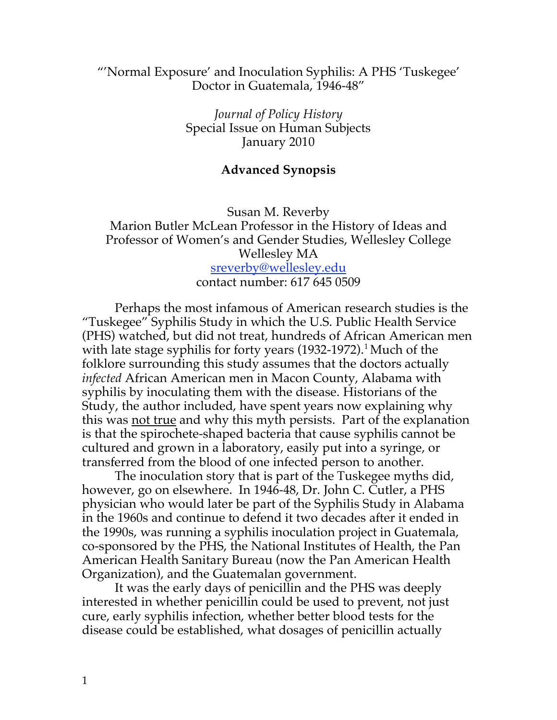## "'Normal Exposure' and Inoculation Syphilis: A PHS 'Tuskegee' Doctor in Guatemala, 1946-48"

*Journal of Policy History* Special Issue on Human Subjects January 2010

## **Advanced Synopsis**

Susan M. Reverby Marion Butler McLean Professor in the History of Ideas and Professor of Women's and Gender Studies, Wellesley College Wellesley MA sreverby@wellesley.edu contact number: 617 645 0509

Perhaps the most infamous of American research studies is the "Tuskegee" Syphilis Study in which the U.S. Public Health Service (PHS) watched, but did not treat, hundreds of African American men with late stage syphilis for forty years (1932-1972). <sup>1</sup> Much of the folklore surrounding this study assumes that the doctors actually *infected* African American men in Macon County, Alabama with syphilis by inoculating them with the disease. Historians of the Study, the author included, have spent years now explaining why this was not true and why this myth persists. Part of the explanation is that the spirochete-shaped bacteria that cause syphilis cannot be cultured and grown in a laboratory, easily put into a syringe, or transferred from the blood of one infected person to another.

The inoculation story that is part of the Tuskegee myths did, however, go on elsewhere. In 1946-48, Dr. John C. Cutler, a PHS physician who would later be part of the Syphilis Study in Alabama in the 1960s and continue to defend it two decades after it ended in the 1990s, was running a syphilis inoculation project in Guatemala, co-sponsored by the PHS, the National Institutes of Health, the Pan American Health Sanitary Bureau (now the Pan American Health Organization), and the Guatemalan government.

It was the early days of penicillin and the PHS was deeply interested in whether penicillin could be used to prevent, not just cure, early syphilis infection, whether better blood tests for the disease could be established, what dosages of penicillin actually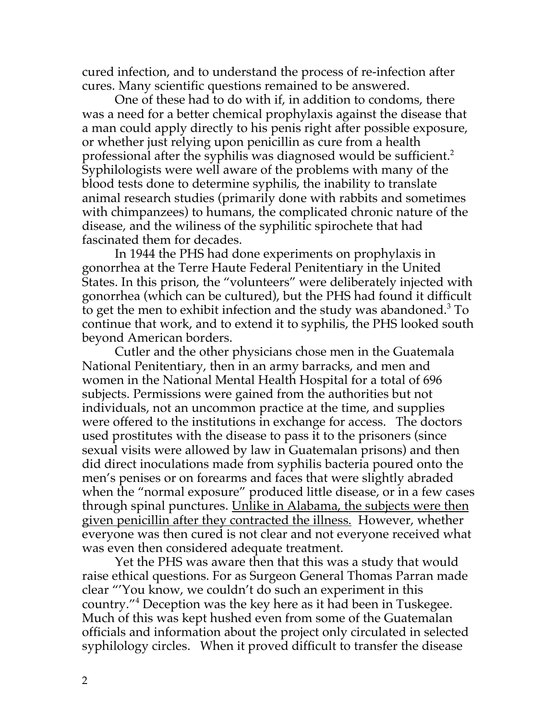cured infection, and to understand the process of re-infection after cures. Many scientific questions remained to be answered.

One of these had to do with if, in addition to condoms, there was a need for a better chemical prophylaxis against the disease that a man could apply directly to his penis right after possible exposure, or whether just relying upon penicillin as cure from a health professional after the syphilis was diagnosed would be sufficient.<sup>2</sup> Syphilologists were well aware of the problems with many of the blood tests done to determine syphilis, the inability to translate animal research studies (primarily done with rabbits and sometimes with chimpanzees) to humans, the complicated chronic nature of the disease, and the wiliness of the syphilitic spirochete that had fascinated them for decades.

In 1944 the PHS had done experiments on prophylaxis in gonorrhea at the Terre Haute Federal Penitentiary in the United States. In this prison, the "volunteers" were deliberately injected with gonorrhea (which can be cultured), but the PHS had found it difficult to get the men to exhibit infection and the study was abandoned. <sup>3</sup> To continue that work, and to extend it to syphilis, the PHS looked south beyond American borders.

Cutler and the other physicians chose men in the Guatemala National Penitentiary, then in an army barracks, and men and women in the National Mental Health Hospital for a total of 696 subjects. Permissions were gained from the authorities but not individuals, not an uncommon practice at the time, and supplies were offered to the institutions in exchange for access. The doctors used prostitutes with the disease to pass it to the prisoners (since sexual visits were allowed by law in Guatemalan prisons) and then did direct inoculations made from syphilis bacteria poured onto the men's penises or on forearms and faces that were slightly abraded when the "normal exposure" produced little disease, or in a few cases through spinal punctures. Unlike in Alabama, the subjects were then given penicillin after they contracted the illness. However, whether everyone was then cured is not clear and not everyone received what was even then considered adequate treatment.

Yet the PHS was aware then that this was a study that would raise ethical questions. For as Surgeon General Thomas Parran made clear "'You know, we couldn't do such an experiment in this country."4 Deception was the key here as it had been in Tuskegee. Much of this was kept hushed even from some of the Guatemalan officials and information about the project only circulated in selected syphilology circles. When it proved difficult to transfer the disease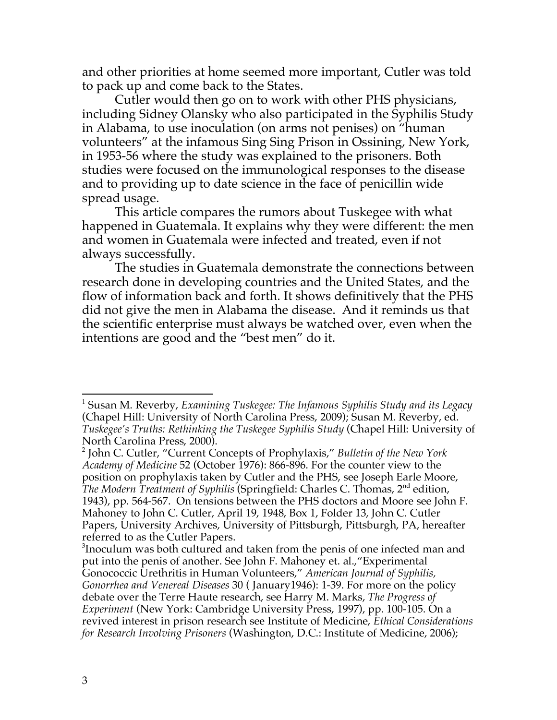and other priorities at home seemed more important, Cutler was told to pack up and come back to the States.

Cutler would then go on to work with other PHS physicians, including Sidney Olansky who also participated in the Syphilis Study in Alabama, to use inoculation (on arms not penises) on "human volunteers" at the infamous Sing Sing Prison in Ossining, New York, in 1953-56 where the study was explained to the prisoners. Both studies were focused on the immunological responses to the disease and to providing up to date science in the face of penicillin wide spread usage.

This article compares the rumors about Tuskegee with what happened in Guatemala. It explains why they were different: the men and women in Guatemala were infected and treated, even if not always successfully.

The studies in Guatemala demonstrate the connections between research done in developing countries and the United States, and the flow of information back and forth. It shows definitively that the PHS did not give the men in Alabama the disease. And it reminds us that the scientific enterprise must always be watched over, even when the intentions are good and the "best men" do it.

 <sup>1</sup> Susan M. Reverby, *Examining Tuskegee: The Infamous Syphilis Study and its Legacy* (Chapel Hill: University of North Carolina Press, 2009); Susan M. Reverby, ed. *Tuskegee's Truths: Rethinking the Tuskegee Syphilis Study* (Chapel Hill: University of North Carolina Press, 2000). <sup>2</sup> John C. Cutler, "Current Concepts of Prophylaxis," *Bulletin of the New York*

*Academy of Medicine* 52 (October 1976): 866-896. For the counter view to the position on prophylaxis taken by Cutler and the PHS, see Joseph Earle Moore, *The Modern Treatment of Syphilis* (Springfield: Charles C. Thomas, 2nd edition, 1943), pp. 564-567. On tensions between the PHS doctors and Moore see John F. Mahoney to John C. Cutler, April 19, 1948, Box 1, Folder 13, John C. Cutler Papers, University Archives, University of Pittsburgh, Pittsburgh, PA, hereafter referred to as the Cutler Papers.

<sup>&</sup>lt;sup>3</sup>Inoculum was both cultured and taken from the penis of one infected man and put into the penis of another. See John F. Mahoney et. al.,"Experimental Gonococcic Urethritis in Human Volunteers," *American Journal of Syphilis, Gonorrhea and Venereal Diseases* 30 ( January1946): 1-39. For more on the policy debate over the Terre Haute research, see Harry M. Marks, *The Progress of Experiment* (New York: Cambridge University Press, 1997), pp. 100-105. On a revived interest in prison research see Institute of Medicine, *Ethical Considerations for Research Involving Prisoners* (Washington, D.C.: Institute of Medicine, 2006);